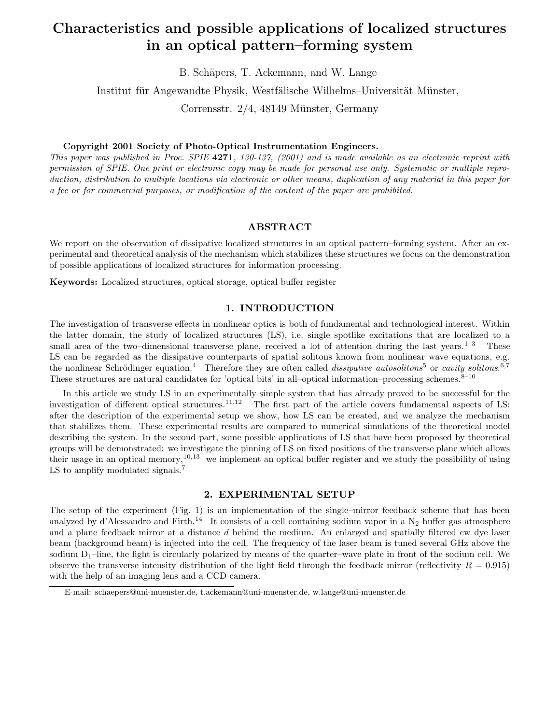# Characteristics and possible applications of localized structures in an optical pattern–forming system

B. Schäpers, T. Ackemann, and W. Lange

Institut für Angewandte Physik, Westfälische Wilhelms–Universität Münster,

Corrensstr.  $2/4$ , 48149 Münster, Germany

#### Copyright 2001 Society of Photo-Optical Instrumentation Engineers.

This paper was published in Proc. SPIE 4271, 130-137, (2001) and is made available as an electronic reprint with permission of SPIE. One print or electronic copy may be made for personal use only. Systematic or multiple reproduction, distribution to multiple locations via electronic or other means, duplication of any material in this paper for a fee or for commercial purposes, or modification of the content of the paper are prohibited.

#### ABSTRACT

We report on the observation of dissipative localized structures in an optical pattern–forming system. After an experimental and theoretical analysis of the mechanism which stabilizes these structures we focus on the demonstration of possible applications of localized structures for information processing.

Keywords: Localized structures, optical storage, optical buffer register

#### 1. INTRODUCTION

The investigation of transverse effects in nonlinear optics is both of fundamental and technological interest. Within the latter domain, the study of localized structures (LS), i.e. single spotlike excitations that are localized to a small area of the two–dimensional transverse plane, received a lot of attention during the last years.<sup>1–3</sup> These LS can be regarded as the dissipative counterparts of spatial solitons known from nonlinear wave equations, e.g. the nonlinear Schrödinger equation.<sup>4</sup> Therefore they are often called *dissipative autosolitons*<sup>5</sup> or *cavity solitons*.<sup>6,7</sup> These structures are natural candidates for 'optical bits' in all-optical information–processing schemes. $8-10$ 

In this article we study LS in an experimentally simple system that has already proved to be successful for the investigation of different optical structures.<sup>11,12</sup> The first part of the article covers fundamental aspects of LS: after the description of the experimental setup we show, how LS can be created, and we analyze the mechanism that stabilizes them. These experimental results are compared to numerical simulations of the theoretical model describing the system. In the second part, some possible applications of LS that have been proposed by theoretical groups will be demonstrated: we investigate the pinning of LS on fixed positions of the transverse plane which allows their usage in an optical memory,<sup>10,13</sup> we implement an optical buffer register and we study the possibility of using LS to amplify modulated signals.<sup>7</sup>

#### 2. EXPERIMENTAL SETUP

The setup of the experiment (Fig. 1) is an implementation of the single–mirror feedback scheme that has been analyzed by d'Alessandro and Firth.<sup>14</sup> It consists of a cell containing sodium vapor in a  $N_2$  buffer gas atmosphere and a plane feedback mirror at a distance d behind the medium. An enlarged and spatially filtered cw dye laser beam (background beam) is injected into the cell. The frequency of the laser beam is tuned several GHz above the sodium  $D_1$ –line, the light is circularly polarized by means of the quarter–wave plate in front of the sodium cell. We observe the transverse intensity distribution of the light field through the feedback mirror (reflectivity  $R = 0.915$ ) with the help of an imaging lens and a CCD camera.

E-mail: schaepers@uni-muenster.de, t.ackemann@uni-muenster.de, w.lange@uni-muenster.de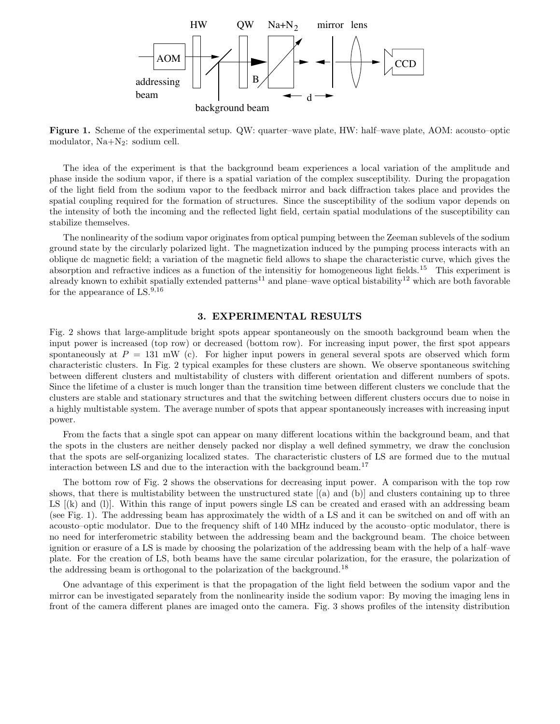

Figure 1. Scheme of the experimental setup. QW: quarter–wave plate, HW: half–wave plate, AOM: acousto–optic modulator,  $Na+N_2$ : sodium cell.

The idea of the experiment is that the background beam experiences a local variation of the amplitude and phase inside the sodium vapor, if there is a spatial variation of the complex susceptibility. During the propagation of the light field from the sodium vapor to the feedback mirror and back diffraction takes place and provides the spatial coupling required for the formation of structures. Since the susceptibility of the sodium vapor depends on the intensity of both the incoming and the reflected light field, certain spatial modulations of the susceptibility can stabilize themselves.

The nonlinearity of the sodium vapor originates from optical pumping between the Zeeman sublevels of the sodium ground state by the circularly polarized light. The magnetization induced by the pumping process interacts with an oblique dc magnetic field; a variation of the magnetic field allows to shape the characteristic curve, which gives the absorption and refractive indices as a function of the intensitiy for homogeneous light fields.<sup>15</sup> This experiment is already known to exhibit spatially extended patterns<sup>11</sup> and plane–wave optical bistability<sup>12</sup> which are both favorable for the appearance of  $LS.^{9,16}$ 

## 3. EXPERIMENTAL RESULTS

Fig. 2 shows that large-amplitude bright spots appear spontaneously on the smooth background beam when the input power is increased (top row) or decreased (bottom row). For increasing input power, the first spot appears spontaneously at  $P = 131$  mW (c). For higher input powers in general several spots are observed which form characteristic clusters. In Fig. 2 typical examples for these clusters are shown. We observe spontaneous switching between different clusters and multistability of clusters with different orientation and different numbers of spots. Since the lifetime of a cluster is much longer than the transition time between different clusters we conclude that the clusters are stable and stationary structures and that the switching between different clusters occurs due to noise in a highly multistable system. The average number of spots that appear spontaneously increases with increasing input power.

From the facts that a single spot can appear on many different locations within the background beam, and that the spots in the clusters are neither densely packed nor display a well defined symmetry, we draw the conclusion that the spots are self-organizing localized states. The characteristic clusters of LS are formed due to the mutual interaction between LS and due to the interaction with the background beam.<sup>17</sup>

The bottom row of Fig. 2 shows the observations for decreasing input power. A comparison with the top row shows, that there is multistability between the unstructured state  $[(a)$  and  $(b)]$  and clusters containing up to three LS [(k) and (l)]. Within this range of input powers single LS can be created and erased with an addressing beam (see Fig. 1). The addressing beam has approximately the width of a LS and it can be switched on and off with an acousto–optic modulator. Due to the frequency shift of 140 MHz induced by the acousto–optic modulator, there is no need for interferometric stability between the addressing beam and the background beam. The choice between ignition or erasure of a LS is made by choosing the polarization of the addressing beam with the help of a half–wave plate. For the creation of LS, both beams have the same circular polarization, for the erasure, the polarization of the addressing beam is orthogonal to the polarization of the background.<sup>18</sup>

One advantage of this experiment is that the propagation of the light field between the sodium vapor and the mirror can be investigated separately from the nonlinearity inside the sodium vapor: By moving the imaging lens in front of the camera different planes are imaged onto the camera. Fig. 3 shows profiles of the intensity distribution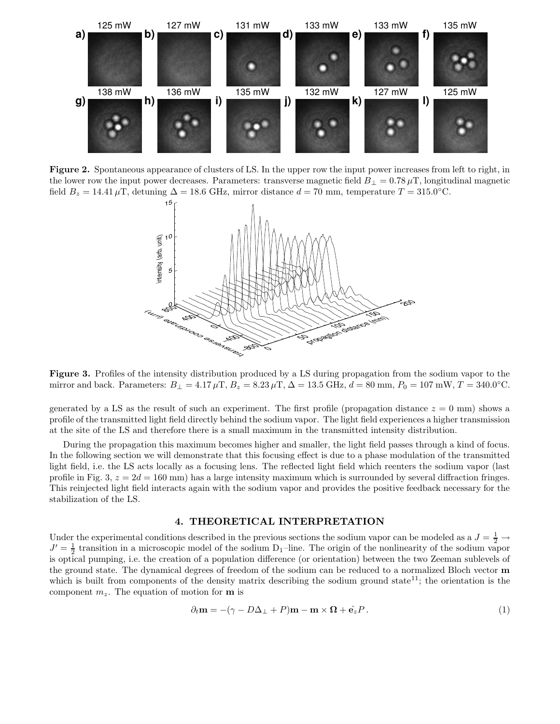

Figure 2. Spontaneous appearance of clusters of LS. In the upper row the input power increases from left to right, in the lower row the input power decreases. Parameters: transverse magnetic field  $B_{\perp} = 0.78 \,\mu$ T, longitudinal magnetic field  $B_z = 14.41 \,\mu\text{T}$ , detuning  $\Delta = 18.6 \text{ GHz}$ , mirror distance  $d = 70 \text{ mm}$ , temperature  $T = 315.0^{\circ}\text{C}$ .



Figure 3. Profiles of the intensity distribution produced by a LS during propagation from the sodium vapor to the mirror and back. Parameters:  $B_{\perp} = 4.17 \,\mu\text{T}, B_z = 8.23 \,\mu\text{T}, \Delta = 13.5 \,\text{GHz}, d = 80 \,\text{mm}, P_0 = 107 \,\text{mW}, T = 340.0^{\circ}\text{C}.$ 

generated by a LS as the result of such an experiment. The first profile (propagation distance  $z = 0$  mm) shows a profile of the transmitted light field directly behind the sodium vapor. The light field experiences a higher transmission at the site of the LS and therefore there is a small maximum in the transmitted intensity distribution.

During the propagation this maximum becomes higher and smaller, the light field passes through a kind of focus. In the following section we will demonstrate that this focusing effect is due to a phase modulation of the transmitted light field, i.e. the LS acts locally as a focusing lens. The reflected light field which reenters the sodium vapor (last profile in Fig. 3,  $z = 2d = 160$  mm) has a large intensity maximum which is surrounded by several diffraction fringes. This reinjected light field interacts again with the sodium vapor and provides the positive feedback necessary for the stabilization of the LS.

## 4. THEORETICAL INTERPRETATION

Under the experimental conditions described in the previous sections the sodium vapor can be modeled as a  $J = \frac{1}{2} \rightarrow$  $J' = \frac{1}{2}$  transition in a microscopic model of the sodium D<sub>1</sub>-line. The origin of the nonlinearity of the sodium vapor is optical pumping, i.e. the creation of a population difference (or orientation) between the two Zeeman sublevels of the ground state. The dynamical degrees of freedom of the sodium can be reduced to a normalized Bloch vector m which is built from components of the density matrix describing the sodium ground state<sup>11</sup>; the orientation is the component  $m_z$ . The equation of motion for **m** is

$$
\partial_t \mathbf{m} = -(\gamma - D\Delta_{\perp} + P)\mathbf{m} - \mathbf{m} \times \mathbf{\Omega} + \hat{\mathbf{e}}_z P. \tag{1}
$$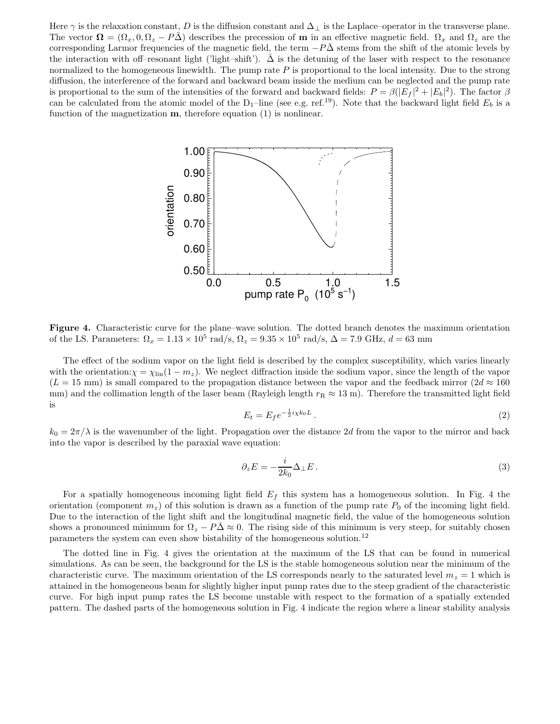Here  $\gamma$  is the relaxation constant, D is the diffusion constant and  $\Delta_{\perp}$  is the Laplace–operator in the transverse plane. The vector  $\mathbf{\Omega} = (\Omega_x, 0, \Omega_z - P\Delta)$  describes the precession of **m** in an effective magnetic field.  $\Omega_x$  and  $\Omega_z$  are the corresponding Larmor frequencies of the magnetic field, the term  $-P\Delta$  stems from the shift of the atomic levels by the interaction with off–resonant light ('light–shift').  $\Delta$  is the detuning of the laser with respect to the resonance normalized to the homogeneous linewidth. The pump rate  $P$  is proportional to the local intensity. Due to the strong diffusion, the interference of the forward and backward beam inside the medium can be neglected and the pump rate is proportional to the sum of the intensities of the forward and backward fields:  $P = \beta(|E_f|^2 + |E_b|^2)$ . The factor  $\beta$ can be calculated from the atomic model of the D<sub>1</sub>–line (see e.g. ref.<sup>19</sup>). Note that the backward light field  $E_b$  is a function of the magnetization **, therefore equation (1) is nonlinear.** 



Figure 4. Characteristic curve for the plane–wave solution. The dotted branch denotes the maximum orientation of the LS. Parameters:  $\Omega_x = 1.13 \times 10^5$  rad/s,  $\Omega_z = 9.35 \times 10^5$  rad/s,  $\Delta = 7.9$  GHz,  $d = 63$  mm

The effect of the sodium vapor on the light field is described by the complex susceptibility, which varies linearly with the orientation: $\chi = \chi_{lin}(1 - m_z)$ . We neglect diffraction inside the sodium vapor, since the length of the vapor  $(L = 15 \text{ mm})$  is small compared to the propagation distance between the vapor and the feedback mirror  $(2d \approx 160 \text{ m})$ mm) and the collimation length of the laser beam (Rayleigh length  $r_R \approx 13$  m). Therefore the transmitted light field is

$$
E_t = E_f e^{-\frac{1}{2}i\chi k_0 L} \,. \tag{2}
$$

 $k_0 = 2\pi/\lambda$  is the wavenumber of the light. Propagation over the distance 2d from the vapor to the mirror and back into the vapor is described by the paraxial wave equation:

$$
\partial_z E = -\frac{i}{2k_0} \Delta_\perp E \,. \tag{3}
$$

For a spatially homogeneous incoming light field  $E_f$  this system has a homogeneous solution. In Fig. 4 the orientation (component  $m_z$ ) of this solution is drawn as a function of the pump rate  $P_0$  of the incoming light field. Due to the interaction of the light shift and the longitudinal magnetic field, the value of the homogeneous solution shows a pronounced minimum for  $\Omega_z - P\bar{\Delta} \approx 0$ . The rising side of this minimum is very steep, for suitably chosen parameters the system can even show bistability of the homogeneous solution.<sup>12</sup>

The dotted line in Fig. 4 gives the orientation at the maximum of the LS that can be found in numerical simulations. As can be seen, the background for the LS is the stable homogeneous solution near the minimum of the characteristic curve. The maximum orientation of the LS corresponds nearly to the saturated level  $m<sub>z</sub> = 1$  which is attained in the homogeneous beam for slightly higher input pump rates due to the steep gradient of the characteristic curve. For high input pump rates the LS become unstable with respect to the formation of a spatially extended pattern. The dashed parts of the homogeneous solution in Fig. 4 indicate the region where a linear stability analysis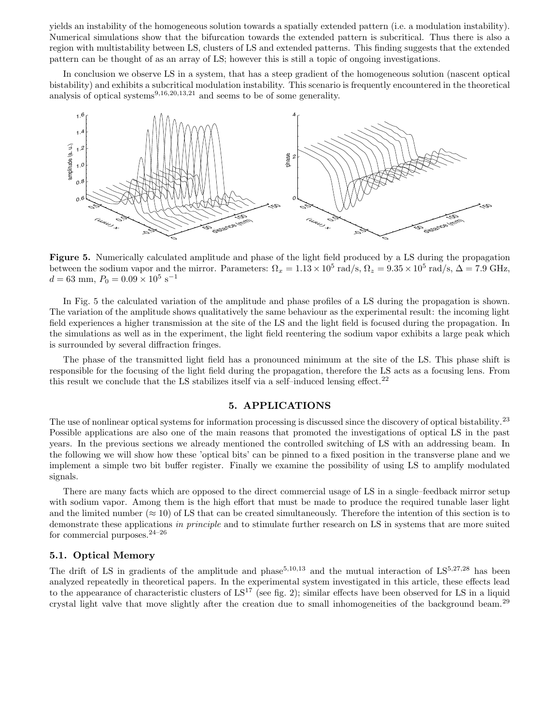yields an instability of the homogeneous solution towards a spatially extended pattern (i.e. a modulation instability). Numerical simulations show that the bifurcation towards the extended pattern is subcritical. Thus there is also a region with multistability between LS, clusters of LS and extended patterns. This finding suggests that the extended pattern can be thought of as an array of LS; however this is still a topic of ongoing investigations.

In conclusion we observe LS in a system, that has a steep gradient of the homogeneous solution (nascent optical bistability) and exhibits a subcritical modulation instability. This scenario is frequently encountered in the theoretical analysis of optical systems<sup>9,16,20,13,21</sup> and seems to be of some generality.



Figure 5. Numerically calculated amplitude and phase of the light field produced by a LS during the propagation between the sodium vapor and the mirror. Parameters:  $\Omega_x = 1.13 \times 10^5$  rad/s,  $\Omega_z = 9.35 \times 10^5$  rad/s,  $\Delta = 7.9$  GHz,  $d = 63$  mm,  $P_0 = 0.09 \times 10^5$  s<sup>-1</sup>

In Fig. 5 the calculated variation of the amplitude and phase profiles of a LS during the propagation is shown. The variation of the amplitude shows qualitatively the same behaviour as the experimental result: the incoming light field experiences a higher transmission at the site of the LS and the light field is focused during the propagation. In the simulations as well as in the experiment, the light field reentering the sodium vapor exhibits a large peak which is surrounded by several diffraction fringes.

The phase of the transmitted light field has a pronounced minimum at the site of the LS. This phase shift is responsible for the focusing of the light field during the propagation, therefore the LS acts as a focusing lens. From this result we conclude that the LS stabilizes itself via a self–induced lensing effect.<sup>22</sup>

#### 5. APPLICATIONS

The use of nonlinear optical systems for information processing is discussed since the discovery of optical bistability.<sup>23</sup> Possible applications are also one of the main reasons that promoted the investigations of optical LS in the past years. In the previous sections we already mentioned the controlled switching of LS with an addressing beam. In the following we will show how these 'optical bits' can be pinned to a fixed position in the transverse plane and we implement a simple two bit buffer register. Finally we examine the possibility of using LS to amplify modulated signals.

There are many facts which are opposed to the direct commercial usage of LS in a single–feedback mirror setup with sodium vapor. Among them is the high effort that must be made to produce the required tunable laser light and the limited number ( $\approx 10$ ) of LS that can be created simultaneously. Therefore the intention of this section is to demonstrate these applications in principle and to stimulate further research on LS in systems that are more suited for commercial purposes. $24-26$ 

## 5.1. Optical Memory

The drift of LS in gradients of the amplitude and phase<sup>5,10,13</sup> and the mutual interaction of  $LS^{5,27,28}$  has been analyzed repeatedly in theoretical papers. In the experimental system investigated in this article, these effects lead to the appearance of characteristic clusters of  $LS^{17}$  (see fig. 2); similar effects have been observed for LS in a liquid crystal light valve that move slightly after the creation due to small inhomogeneities of the background beam.<sup>29</sup>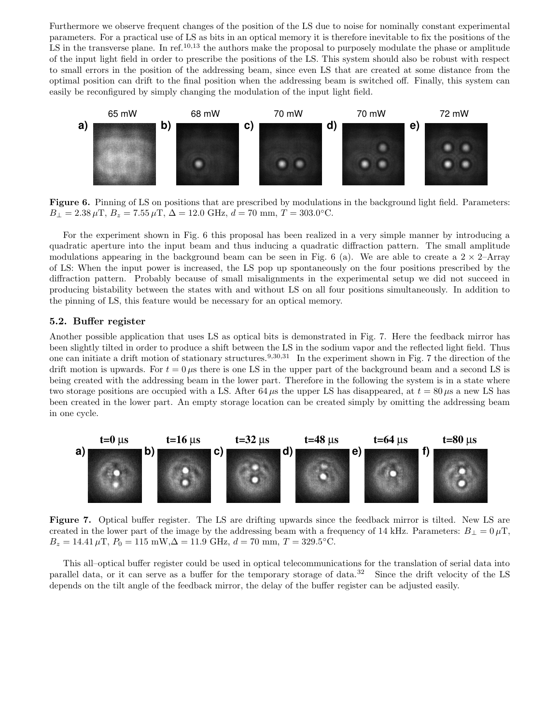Furthermore we observe frequent changes of the position of the LS due to noise for nominally constant experimental parameters. For a practical use of LS as bits in an optical memory it is therefore inevitable to fix the positions of the LS in the transverse plane. In ref.<sup>10,13</sup> the authors make the proposal to purposely modulate the phase or amplitude of the input light field in order to prescribe the positions of the LS. This system should also be robust with respect to small errors in the position of the addressing beam, since even LS that are created at some distance from the optimal position can drift to the final position when the addressing beam is switched off. Finally, this system can easily be reconfigured by simply changing the modulation of the input light field.



Figure 6. Pinning of LS on positions that are prescribed by modulations in the background light field. Parameters:  $B_{\perp} = 2.38 \,\mu\text{T}, B_z = 7.55 \,\mu\text{T}, \Delta = 12.0 \text{ GHz}, d = 70 \text{ mm}, T = 303.0^{\circ}\text{C}.$ 

For the experiment shown in Fig. 6 this proposal has been realized in a very simple manner by introducing a quadratic aperture into the input beam and thus inducing a quadratic diffraction pattern. The small amplitude modulations appearing in the background beam can be seen in Fig. 6 (a). We are able to create a  $2 \times 2$ –Array of LS: When the input power is increased, the LS pop up spontaneously on the four positions prescribed by the diffraction pattern. Probably because of small misalignments in the experimental setup we did not succeed in producing bistability between the states with and without LS on all four positions simultaneously. In addition to the pinning of LS, this feature would be necessary for an optical memory.

## 5.2. Buffer register

Another possible application that uses LS as optical bits is demonstrated in Fig. 7. Here the feedback mirror has been slightly tilted in order to produce a shift between the LS in the sodium vapor and the reflected light field. Thus one can initiate a drift motion of stationary structures.9,30,31 In the experiment shown in Fig. 7 the direction of the drift motion is upwards. For  $t = 0 \mu s$  there is one LS in the upper part of the background beam and a second LS is being created with the addressing beam in the lower part. Therefore in the following the system is in a state where two storage positions are occupied with a LS. After 64  $\mu$ s the upper LS has disappeared, at  $t = 80 \mu$ s a new LS has been created in the lower part. An empty storage location can be created simply by omitting the addressing beam in one cycle.



Figure 7. Optical buffer register. The LS are drifting upwards since the feedback mirror is tilted. New LS are created in the lower part of the image by the addressing beam with a frequency of 14 kHz. Parameters:  $B_{\perp} = 0 \mu$ T,  $B_z = 14.41 \,\mu\text{T}, P_0 = 115 \text{ mW}, \Delta = 11.9 \text{ GHz}, d = 70 \text{ mm}, T = 329.5^{\circ}\text{C}.$ 

This all–optical buffer register could be used in optical telecommunications for the translation of serial data into parallel data, or it can serve as a buffer for the temporary storage of data.<sup>32</sup> Since the drift velocity of the LS depends on the tilt angle of the feedback mirror, the delay of the buffer register can be adjusted easily.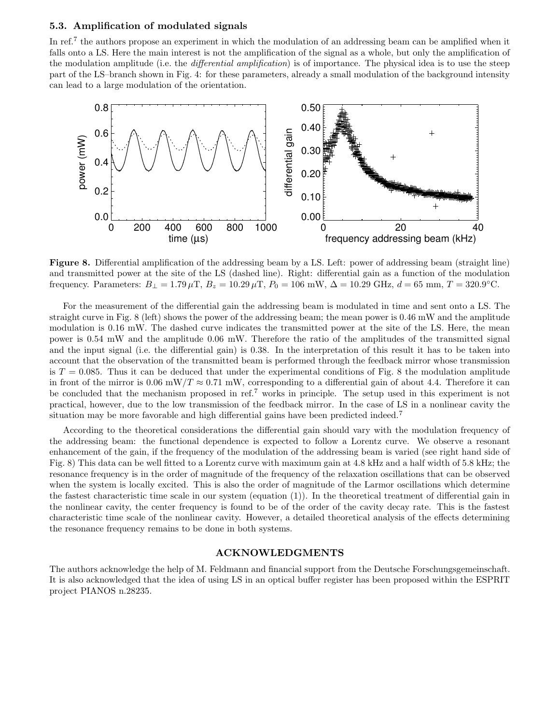#### 5.3. Amplification of modulated signals

In ref.<sup>7</sup> the authors propose an experiment in which the modulation of an addressing beam can be amplified when it falls onto a LS. Here the main interest is not the amplification of the signal as a whole, but only the amplification of the modulation amplitude (i.e. the *differential amplification*) is of importance. The physical idea is to use the steep part of the LS–branch shown in Fig. 4: for these parameters, already a small modulation of the background intensity can lead to a large modulation of the orientation.



Figure 8. Differential amplification of the addressing beam by a LS. Left: power of addressing beam (straight line) and transmitted power at the site of the LS (dashed line). Right: differential gain as a function of the modulation frequency. Parameters:  $B_{\perp} = 1.79 \,\mu$ T,  $B_z = 10.29 \,\mu$ T,  $P_0 = 106 \text{ mW}$ ,  $\Delta = 10.29 \text{ GHz}$ ,  $d = 65 \text{ mm}$ ,  $T = 320.9 \text{°C}$ .

For the measurement of the differential gain the addressing beam is modulated in time and sent onto a LS. The straight curve in Fig. 8 (left) shows the power of the addressing beam; the mean power is 0.46 mW and the amplitude modulation is 0.16 mW. The dashed curve indicates the transmitted power at the site of the LS. Here, the mean power is 0.54 mW and the amplitude 0.06 mW. Therefore the ratio of the amplitudes of the transmitted signal and the input signal (i.e. the differential gain) is 0.38. In the interpretation of this result it has to be taken into account that the observation of the transmitted beam is performed through the feedback mirror whose transmission is  $T = 0.085$ . Thus it can be deduced that under the experimental conditions of Fig. 8 the modulation amplitude in front of the mirror is 0.06 mW/T  $\approx$  0.71 mW, corresponding to a differential gain of about 4.4. Therefore it can be concluded that the mechanism proposed in ref.<sup>7</sup> works in principle. The setup used in this experiment is not practical, however, due to the low transmission of the feedback mirror. In the case of LS in a nonlinear cavity the situation may be more favorable and high differential gains have been predicted indeed.<sup>7</sup>

According to the theoretical considerations the differential gain should vary with the modulation frequency of the addressing beam: the functional dependence is expected to follow a Lorentz curve. We observe a resonant enhancement of the gain, if the frequency of the modulation of the addressing beam is varied (see right hand side of Fig. 8) This data can be well fitted to a Lorentz curve with maximum gain at 4.8 kHz and a half width of 5.8 kHz; the resonance frequency is in the order of magnitude of the frequency of the relaxation oscillations that can be observed when the system is locally excited. This is also the order of magnitude of the Larmor oscillations which determine the fastest characteristic time scale in our system (equation (1)). In the theoretical treatment of differential gain in the nonlinear cavity, the center frequency is found to be of the order of the cavity decay rate. This is the fastest characteristic time scale of the nonlinear cavity. However, a detailed theoretical analysis of the effects determining the resonance frequency remains to be done in both systems.

## ACKNOWLEDGMENTS

The authors acknowledge the help of M. Feldmann and financial support from the Deutsche Forschungsgemeinschaft. It is also acknowledged that the idea of using LS in an optical buffer register has been proposed within the ESPRIT project PIANOS n.28235.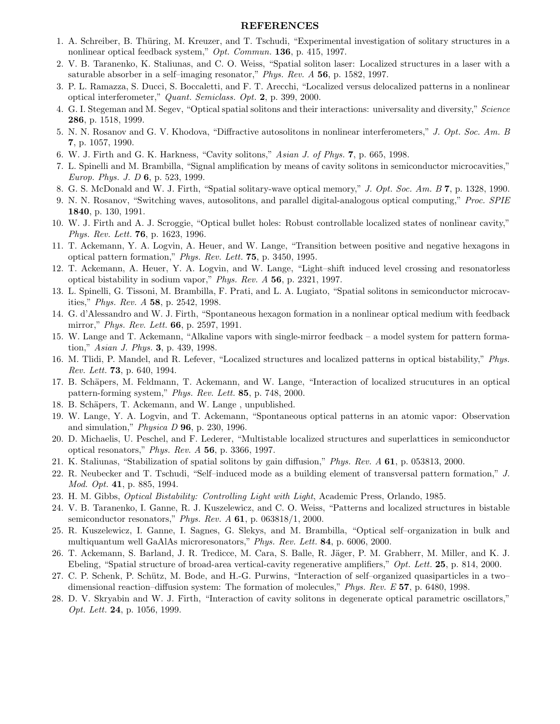#### REFERENCES

- 1. A. Schreiber, B. Thüring, M. Kreuzer, and T. Tschudi, "Experimental investigation of solitary structures in a nonlinear optical feedback system," Opt. Commun. 136, p. 415, 1997.
- 2. V. B. Taranenko, K. Staliunas, and C. O. Weiss, "Spatial soliton laser: Localized structures in a laser with a saturable absorber in a self–imaging resonator," Phys. Rev. A 56, p. 1582, 1997.
- 3. P. L. Ramazza, S. Ducci, S. Boccaletti, and F. T. Arecchi, "Localized versus delocalized patterns in a nonlinear optical interferometer," Quant. Semiclass. Opt. 2, p. 399, 2000.
- 4. G. I. Stegeman and M. Segev, "Optical spatial solitons and their interactions: universality and diversity," Science 286, p. 1518, 1999.
- 5. N. N. Rosanov and G. V. Khodova, "Diffractive autosolitons in nonlinear interferometers," J. Opt. Soc. Am. B 7, p. 1057, 1990.
- 6. W. J. Firth and G. K. Harkness, "Cavity solitons," Asian J. of Phys. 7, p. 665, 1998.
- 7. L. Spinelli and M. Brambilla, "Signal amplification by means of cavity solitons in semiconductor microcavities," Europ. Phys. J. D 6, p. 523, 1999.
- 8. G. S. McDonald and W. J. Firth, "Spatial solitary-wave optical memory," J. Opt. Soc. Am. B 7, p. 1328, 1990.
- 9. N. N. Rosanov, "Switching waves, autosolitons, and parallel digital-analogous optical computing," Proc. SPIE 1840, p. 130, 1991.
- 10. W. J. Firth and A. J. Scroggie, "Optical bullet holes: Robust controllable localized states of nonlinear cavity," *Phys. Rev. Lett.* **76**, p. 1623, 1996.
- 11. T. Ackemann, Y. A. Logvin, A. Heuer, and W. Lange, "Transition between positive and negative hexagons in optical pattern formation," Phys. Rev. Lett. 75, p. 3450, 1995.
- 12. T. Ackemann, A. Heuer, Y. A. Logvin, and W. Lange, "Light–shift induced level crossing and resonatorless optical bistability in sodium vapor," Phys. Rev. A 56, p. 2321, 1997.
- 13. L. Spinelli, G. Tissoni, M. Brambilla, F. Prati, and L. A. Lugiato, "Spatial solitons in semiconductor microcavities," Phys. Rev. A 58, p. 2542, 1998.
- 14. G. d'Alessandro and W. J. Firth, "Spontaneous hexagon formation in a nonlinear optical medium with feedback mirror," *Phys. Rev. Lett.* **66**, p. 2597, 1991.
- 15. W. Lange and T. Ackemann, "Alkaline vapors with single-mirror feedback a model system for pattern formation," Asian J. Phys. 3, p. 439, 1998.
- 16. M. Tlidi, P. Mandel, and R. Lefever, "Localized structures and localized patterns in optical bistability," Phys. Rev. Lett. 73, p. 640, 1994.
- 17. B. Schäpers, M. Feldmann, T. Ackemann, and W. Lange, "Interaction of localized strucutures in an optical pattern-forming system," Phys. Rev. Lett. 85, p. 748, 2000.
- 18. B. Schäpers, T. Ackemann, and W. Lange, unpublished.
- 19. W. Lange, Y. A. Logvin, and T. Ackemann, "Spontaneous optical patterns in an atomic vapor: Observation and simulation," Physica D 96, p. 230, 1996.
- 20. D. Michaelis, U. Peschel, and F. Lederer, "Multistable localized structures and superlattices in semiconductor optical resonators," Phys. Rev. A 56, p. 3366, 1997.
- 21. K. Staliunas, "Stabilization of spatial solitons by gain diffusion," Phys. Rev. A 61, p. 053813, 2000.
- 22. R. Neubecker and T. Tschudi, "Self–induced mode as a building element of transversal pattern formation," J. Mod. Opt. 41, p. 885, 1994.
- 23. H. M. Gibbs, Optical Bistability: Controlling Light with Light, Academic Press, Orlando, 1985.
- 24. V. B. Taranenko, I. Ganne, R. J. Kuszelewicz, and C. O. Weiss, "Patterns and localized structures in bistable semiconductor resonators," Phys. Rev. A 61, p. 063818/1, 2000.
- 25. R. Kuszelewicz, I. Ganne, I. Sagnes, G. Slekys, and M. Brambilla, "Optical self–organization in bulk and multiquantum well GaAlAs microresonators," Phys. Rev. Lett. 84, p. 6006, 2000.
- 26. T. Ackemann, S. Barland, J. R. Tredicce, M. Cara, S. Balle, R. Jäger, P. M. Grabherr, M. Miller, and K. J. Ebeling, "Spatial structure of broad-area vertical-cavity regenerative amplifiers," Opt. Lett. 25, p. 814, 2000.
- 27. C. P. Schenk, P. Schütz, M. Bode, and H.-G. Purwins, "Interaction of self-organized quasiparticles in a two– dimensional reaction–diffusion system: The formation of molecules," Phys. Rev. E 57, p. 6480, 1998.
- 28. D. V. Skryabin and W. J. Firth, "Interaction of cavity solitons in degenerate optical parametric oscillators," Opt. Lett. 24, p. 1056, 1999.